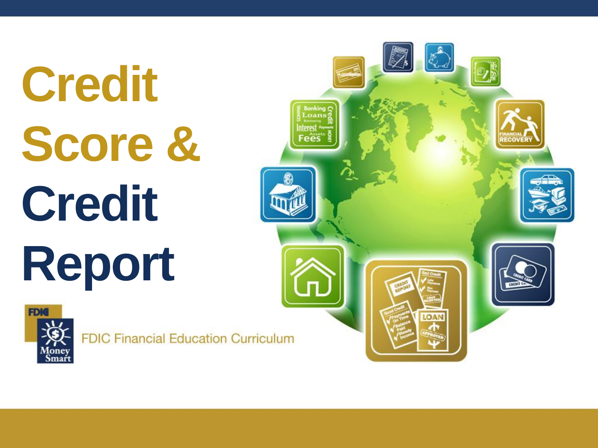# **Credit Score & Credit Report**



**FDIC Financial Education Curriculum** 

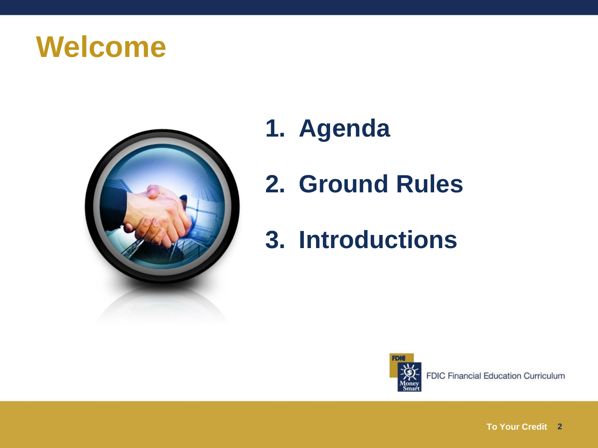#### **Welcome**



- **1. Agenda**
- **2. Ground Rules**
- **3. Introductions**

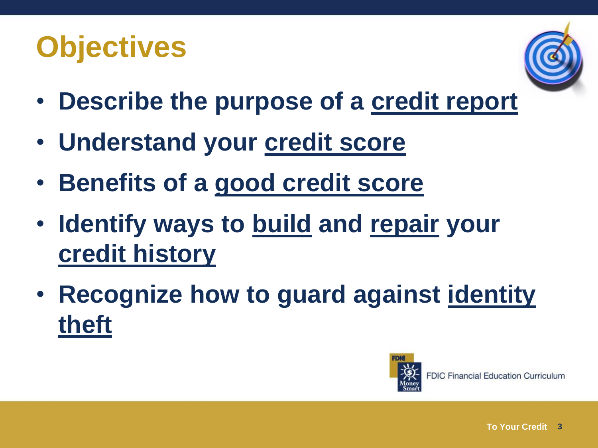# **Objectives**



- **Describe the purpose of a credit report**
- **Understand your credit score**
- **Benefits of a good credit score**
- **Identify ways to build and repair your credit history**
- **Recognize how to guard against identity theft**

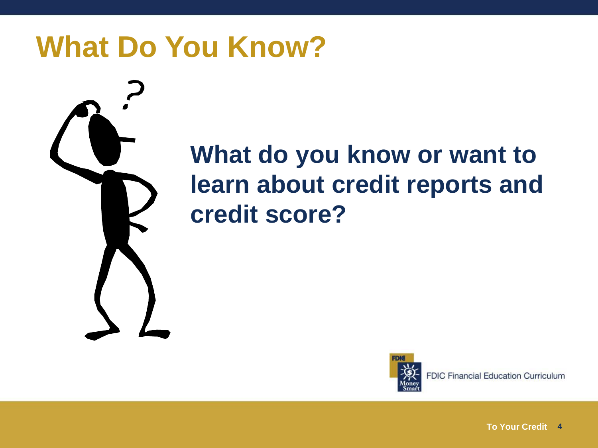#### **What Do You Know?**



#### **What do you know or want to learn about credit reports and credit score?**



**FDIC Financial Education Curriculum**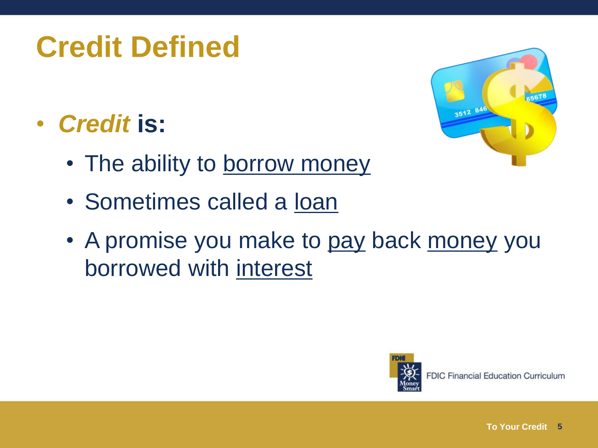# **Credit Defined**

• *Credit* **is:**

3512 846

- The ability to borrow money
- Sometimes called a loan
- A promise you make to pay back money you borrowed with interest

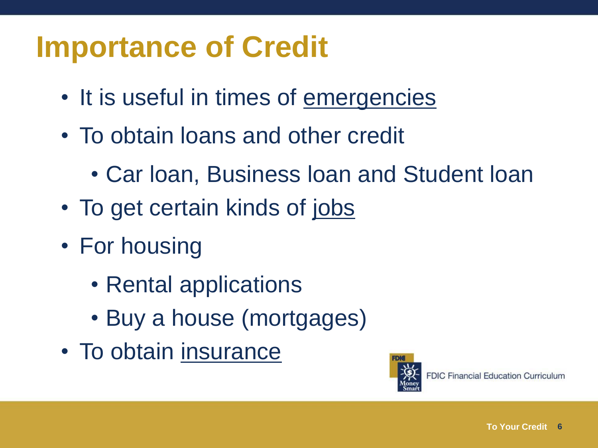### **Importance of Credit**

- It is useful in times of emergencies
- To obtain loans and other credit
	- Car loan, Business loan and Student loan
- To get certain kinds of jobs
- For housing
	- Rental applications
	- Buy a house (mortgages)
- To obtain insurance

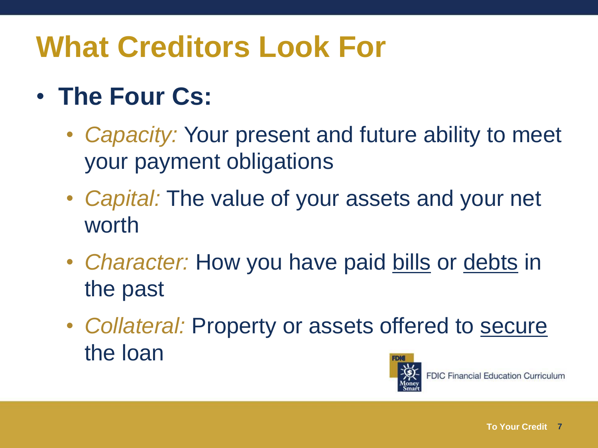# **What Creditors Look For**

#### • **The Four Cs:**

- *Capacity:* Your present and future ability to meet your payment obligations
- *Capital:* The value of your assets and your net worth
- *Character:* How you have paid bills or debts in the past
- *Collateral:* Property or assets offered to secure the loan

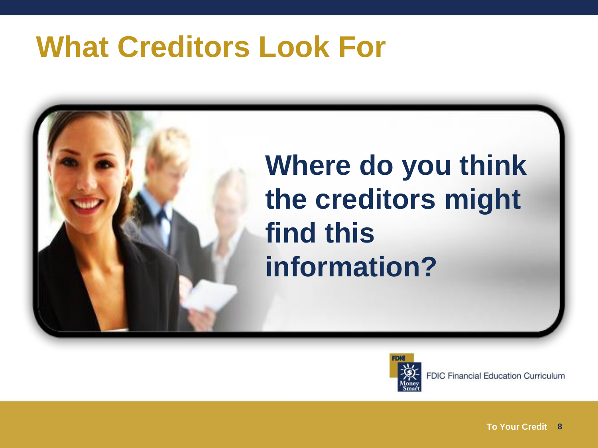#### **What Creditors Look For**





**FDIC Financial Education Curriculum**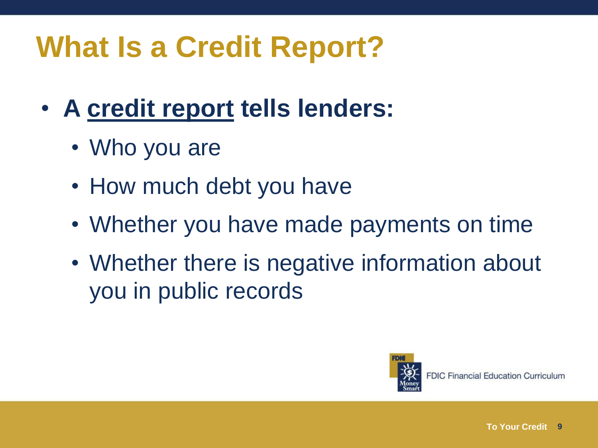# **What Is a Credit Report?**

- **A credit report tells lenders:**
	- Who you are
	- How much debt you have
	- Whether you have made payments on time
	- Whether there is negative information about you in public records

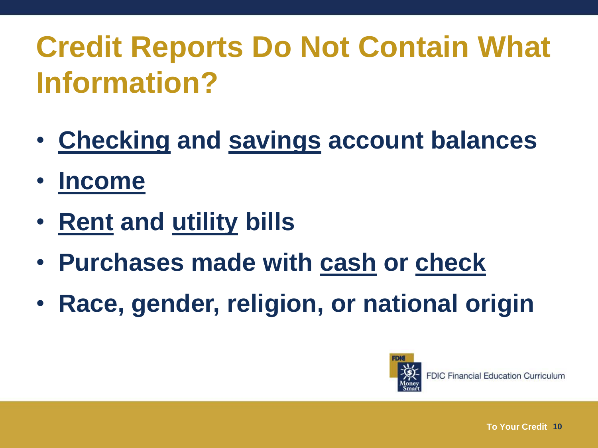# **Credit Reports Do Not Contain What Information?**

- **Checking and savings account balances**
- **Income**
- **Rent and utility bills**
- **Purchases made with cash or check**
- **Race, gender, religion, or national origin**

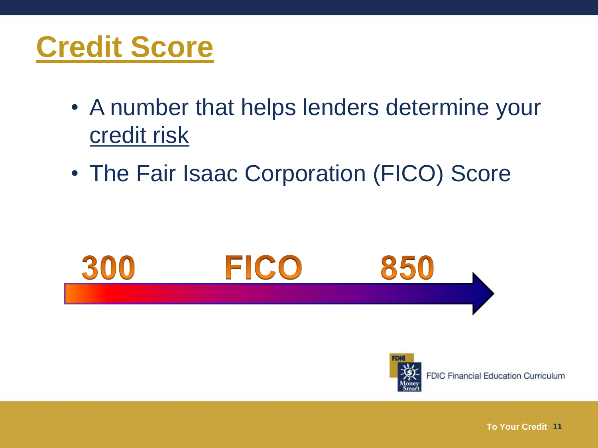### **Credit Score**

- A number that helps lenders determine your credit risk
- The Fair Isaac Corporation (FICO) Score



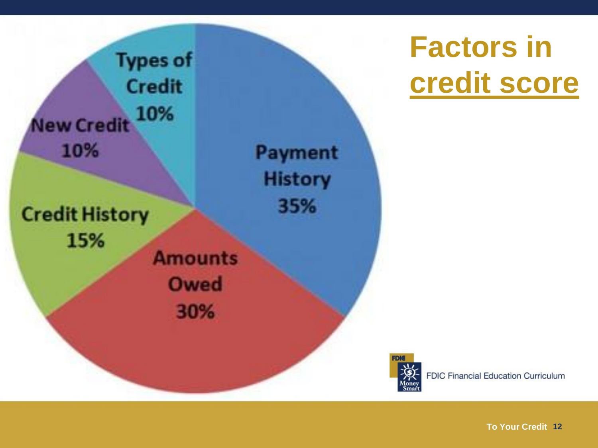

# **Factors in credit score**

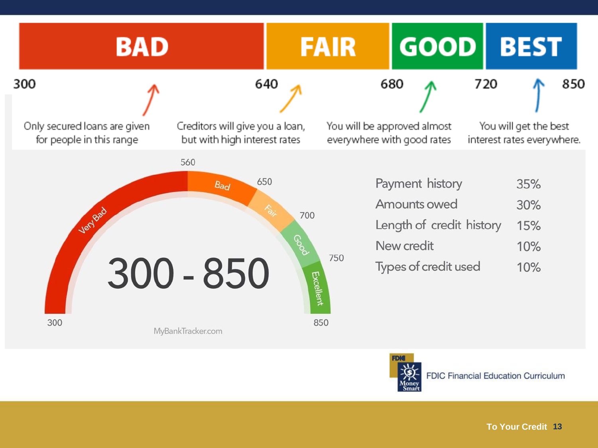

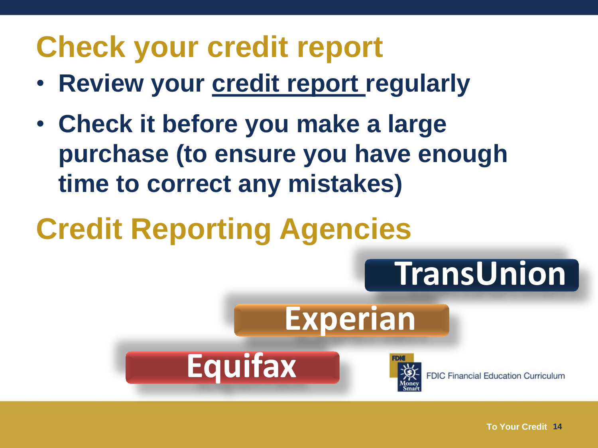#### **Check your credit report**

- **Review your credit report regularly**
- **Check it before you make a large purchase (to ensure you have enough time to correct any mistakes)**
- **Credit Reporting Agencies**

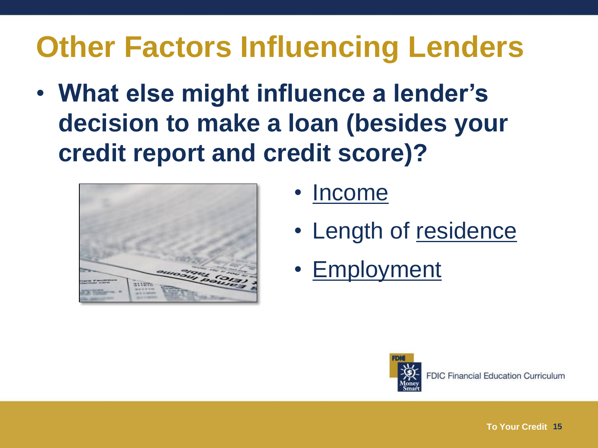# **Other Factors Influencing Lenders**

• **What else might influence a lender's decision to make a loan (besides your credit report and credit score)?**



- Income
- Length of residence
- Employment

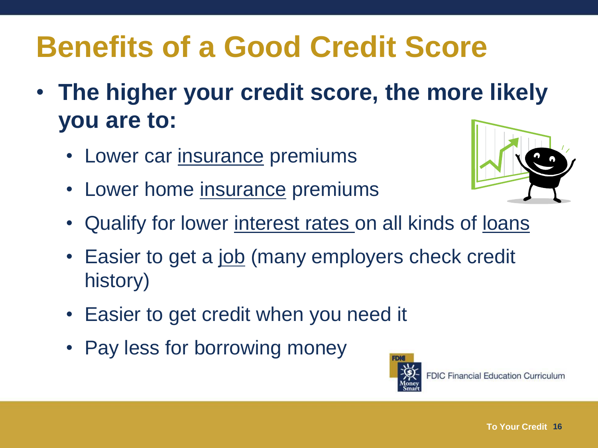# **Benefits of a Good Credit Score**

- **The higher your credit score, the more likely you are to:**
	- Lower car insurance premiums
	- Lower home insurance premiums



- Qualify for lower interest rates on all kinds of loans
- Easier to get a <u>job</u> (many employers check credit history)
- Easier to get credit when you need it
- Pay less for borrowing money

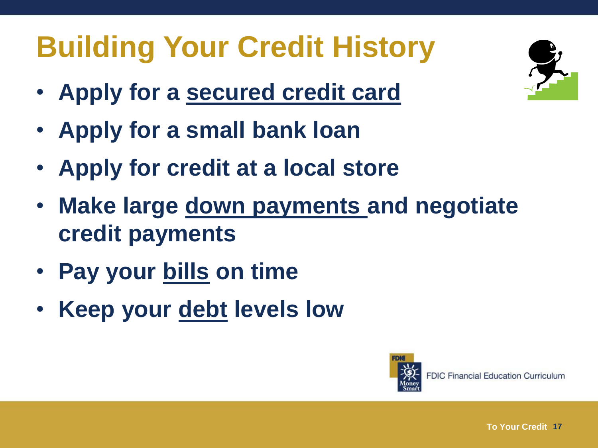# **Building Your Credit History**

- **Apply for a secured credit card**
- **Apply for a small bank loan**
- **Apply for credit at a local store**
- **Make large down payments and negotiate credit payments**
- **Pay your bills on time**
- **Keep your debt levels low**





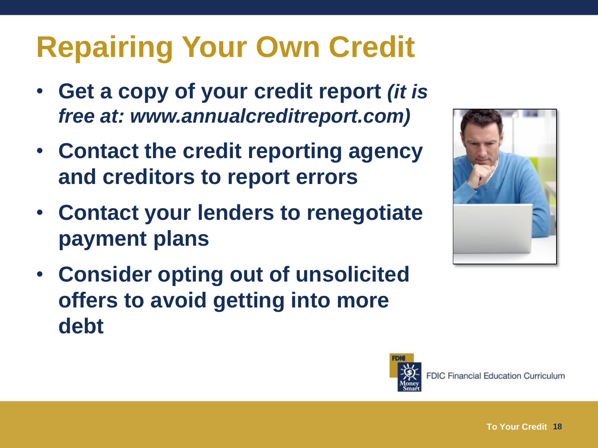# **Repairing Your Own Credit**

- **Get a copy of your credit report** *(it is free at: www.annualcreditreport.com)*
- **Contact the credit reporting agency and creditors to report errors**
- **Contact your lenders to renegotiate payment plans**
- **Consider opting out of unsolicited offers to avoid getting into more debt**



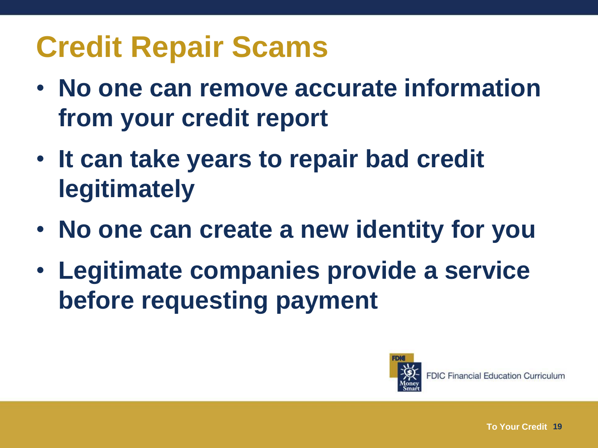# **Credit Repair Scams**

- **No one can remove accurate information from your credit report**
- **It can take years to repair bad credit legitimately**
- **No one can create a new identity for you**
- **Legitimate companies provide a service before requesting payment**

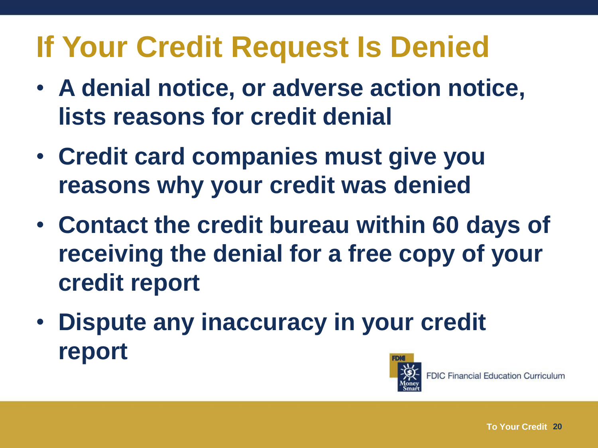# **If Your Credit Request Is Denied**

- **A denial notice, or adverse action notice, lists reasons for credit denial**
- **Credit card companies must give you reasons why your credit was denied**
- **Contact the credit bureau within 60 days of receiving the denial for a free copy of your credit report**
- **Dispute any inaccuracy in your credit report**

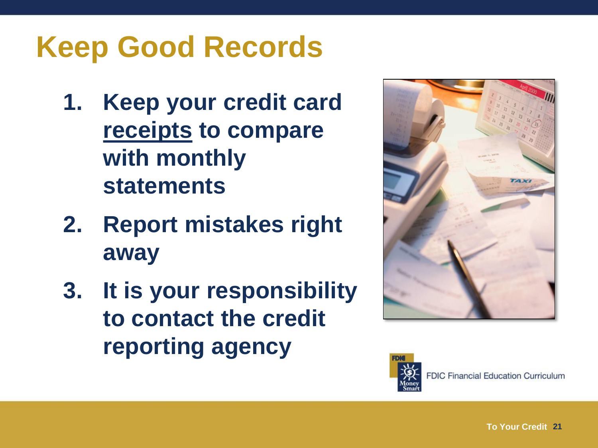# **Keep Good Records**

- **1. Keep your credit card receipts to compare with monthly statements**
- **2. Report mistakes right away**
- **3. It is your responsibility to contact the credit reporting agency**



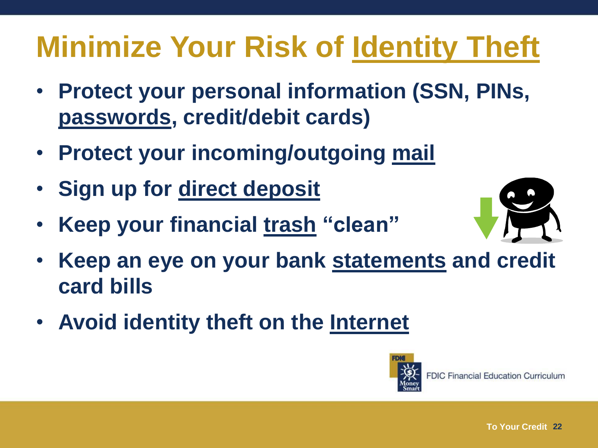# **Minimize Your Risk of Identity Theft**

- **Protect your personal information (SSN, PINs, passwords, credit/debit cards)**
- **Protect your incoming/outgoing mail**
- **Sign up for direct deposit**
- **Keep your financial trash "clean"**



- **Keep an eye on your bank statements and credit card bills**
- **Avoid identity theft on the Internet**